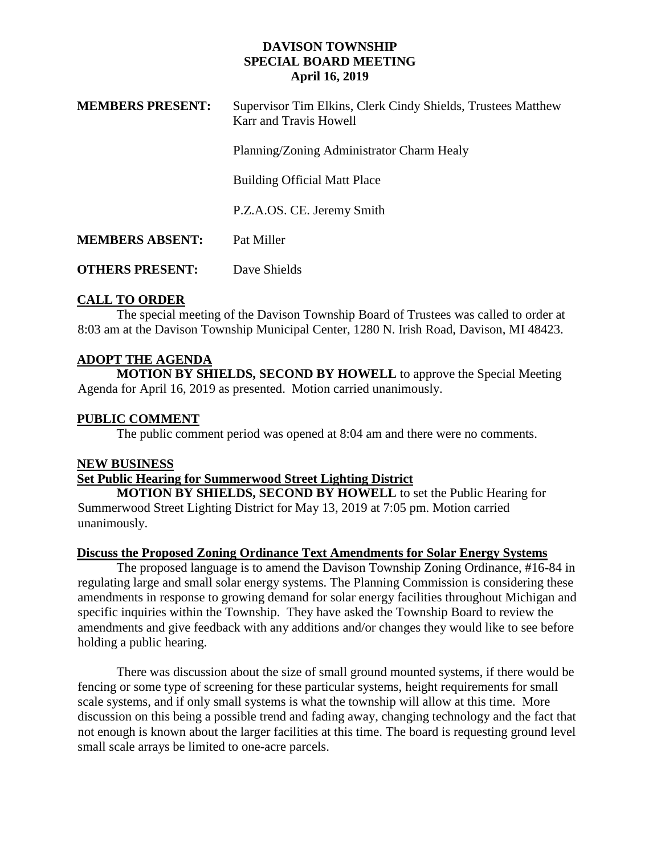### **DAVISON TOWNSHIP SPECIAL BOARD MEETING April 16, 2019**

| <b>MEMBERS PRESENT:</b> | Supervisor Tim Elkins, Clerk Cindy Shields, Trustees Matthew<br>Karr and Travis Howell |
|-------------------------|----------------------------------------------------------------------------------------|
|                         | Planning/Zoning Administrator Charm Healy                                              |
|                         | <b>Building Official Matt Place</b>                                                    |
|                         | P.Z.A.OS. CE. Jeremy Smith                                                             |
| <b>MEMBERS ABSENT:</b>  | Pat Miller                                                                             |
| <b>OTHERS PRESENT:</b>  | Dave Shields                                                                           |

## **CALL TO ORDER**

The special meeting of the Davison Township Board of Trustees was called to order at 8:03 am at the Davison Township Municipal Center, 1280 N. Irish Road, Davison, MI 48423.

# **ADOPT THE AGENDA**

**MOTION BY SHIELDS, SECOND BY HOWELL** to approve the Special Meeting Agenda for April 16, 2019 as presented. Motion carried unanimously.

### **PUBLIC COMMENT**

The public comment period was opened at 8:04 am and there were no comments.

### **NEW BUSINESS**

### **Set Public Hearing for Summerwood Street Lighting District**

**MOTION BY SHIELDS, SECOND BY HOWELL** to set the Public Hearing for Summerwood Street Lighting District for May 13, 2019 at 7:05 pm. Motion carried unanimously.

#### **Discuss the Proposed Zoning Ordinance Text Amendments for Solar Energy Systems**

The proposed language is to amend the Davison Township Zoning Ordinance, #16-84 in regulating large and small solar energy systems. The Planning Commission is considering these amendments in response to growing demand for solar energy facilities throughout Michigan and specific inquiries within the Township. They have asked the Township Board to review the amendments and give feedback with any additions and/or changes they would like to see before holding a public hearing.

There was discussion about the size of small ground mounted systems, if there would be fencing or some type of screening for these particular systems, height requirements for small scale systems, and if only small systems is what the township will allow at this time. More discussion on this being a possible trend and fading away, changing technology and the fact that not enough is known about the larger facilities at this time. The board is requesting ground level small scale arrays be limited to one-acre parcels.